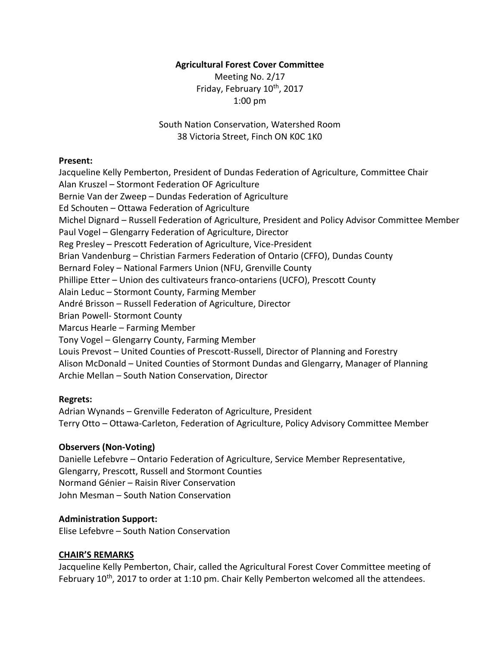## **Agricultural Forest Cover Committee**

Meeting No. 2/17 Friday, February 10<sup>th</sup>, 2017 1:00 pm

South Nation Conservation, Watershed Room 38 Victoria Street, Finch ON K0C 1K0

### **Present:**

Jacqueline Kelly Pemberton, President of Dundas Federation of Agriculture, Committee Chair Alan Kruszel – Stormont Federation OF Agriculture Bernie Van der Zweep – Dundas Federation of Agriculture Ed Schouten – Ottawa Federation of Agriculture Michel Dignard – Russell Federation of Agriculture, President and Policy Advisor Committee Member Paul Vogel – Glengarry Federation of Agriculture, Director Reg Presley – Prescott Federation of Agriculture, Vice-President Brian Vandenburg – Christian Farmers Federation of Ontario (CFFO), Dundas County Bernard Foley – National Farmers Union (NFU, Grenville County Phillipe Etter – Union des cultivateurs franco-ontariens (UCFO), Prescott County Alain Leduc – Stormont County, Farming Member André Brisson – Russell Federation of Agriculture, Director Brian Powell- Stormont County Marcus Hearle – Farming Member Tony Vogel – Glengarry County, Farming Member Louis Prevost – United Counties of Prescott-Russell, Director of Planning and Forestry Alison McDonald – United Counties of Stormont Dundas and Glengarry, Manager of Planning Archie Mellan – South Nation Conservation, Director

## **Regrets:**

Adrian Wynands – Grenville Federaton of Agriculture, President Terry Otto – Ottawa-Carleton, Federation of Agriculture, Policy Advisory Committee Member

## **Observers (Non-Voting)**

Danielle Lefebvre – Ontario Federation of Agriculture, Service Member Representative, Glengarry, Prescott, Russell and Stormont Counties Normand Génier – Raisin River Conservation John Mesman – South Nation Conservation

## **Administration Support:**

Elise Lefebvre – South Nation Conservation

## **CHAIR'S REMARKS**

Jacqueline Kelly Pemberton, Chair, called the Agricultural Forest Cover Committee meeting of February 10<sup>th</sup>, 2017 to order at 1:10 pm. Chair Kelly Pemberton welcomed all the attendees.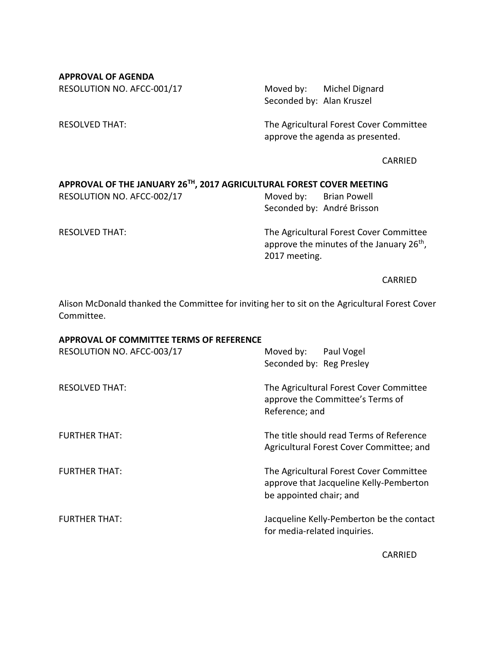**APPROVAL OF AGENDA** RESOLUTION NO. AFCC-001/17 Moved by: Michel Dignard

Seconded by: Alan Kruszel

RESOLVED THAT: The Agricultural Forest Cover Committee approve the agenda as presented.

CARRIED

# **APPROVAL OF THE JANUARY 26TH, 2017 AGRICULTURAL FOREST COVER MEETING**

RESOLUTION NO. AFCC-002/17 Moved by: Brian Powell Seconded by: André Brisson

RESOLVED THAT: The Agricultural Forest Cover Committee approve the minutes of the January 26<sup>th</sup>, 2017 meeting.

CARRIED

Alison McDonald thanked the Committee for inviting her to sit on the Agricultural Forest Cover Committee.

#### **APPROVAL OF COMMITTEE TERMS OF REFERENCE**

| RESOLUTION NO. AFCC-003/17 | Moved by: Paul Vogel<br>Seconded by: Reg Presley                                                              |
|----------------------------|---------------------------------------------------------------------------------------------------------------|
| <b>RESOLVED THAT:</b>      | The Agricultural Forest Cover Committee<br>approve the Committee's Terms of<br>Reference; and                 |
| <b>FURTHER THAT:</b>       | The title should read Terms of Reference<br>Agricultural Forest Cover Committee; and                          |
| <b>FURTHER THAT:</b>       | The Agricultural Forest Cover Committee<br>approve that Jacqueline Kelly-Pemberton<br>be appointed chair; and |
| <b>FURTHER THAT:</b>       | Jacqueline Kelly-Pemberton be the contact<br>for media-related inquiries.                                     |

CARRIED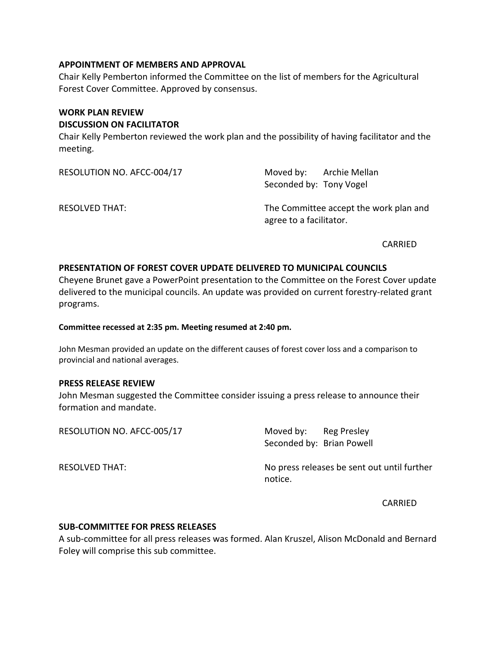### **APPOINTMENT OF MEMBERS AND APPROVAL**

Chair Kelly Pemberton informed the Committee on the list of members for the Agricultural Forest Cover Committee. Approved by consensus.

### **WORK PLAN REVIEW**

### **DISCUSSION ON FACILITATOR**

Chair Kelly Pemberton reviewed the work plan and the possibility of having facilitator and the meeting.

| RESOLUTION NO. AFCC-004/17 | Moved by: Archie Mellan<br>Seconded by: Tony Vogel                |  |
|----------------------------|-------------------------------------------------------------------|--|
| <b>RESOLVED THAT:</b>      | The Committee accept the work plan and<br>agree to a facilitator. |  |

CARRIED

## **PRESENTATION OF FOREST COVER UPDATE DELIVERED TO MUNICIPAL COUNCILS**

Cheyene Brunet gave a PowerPoint presentation to the Committee on the Forest Cover update delivered to the municipal councils. An update was provided on current forestry-related grant programs.

#### **Committee recessed at 2:35 pm. Meeting resumed at 2:40 pm.**

John Mesman provided an update on the different causes of forest cover loss and a comparison to provincial and national averages.

#### **PRESS RELEASE REVIEW**

John Mesman suggested the Committee consider issuing a press release to announce their formation and mandate.

| RESOLUTION NO. AFCC-005/17 | Moved by:<br>Seconded by: Brian Powell | Reg Presley                                 |
|----------------------------|----------------------------------------|---------------------------------------------|
| RESOLVED THAT:             | notice.                                | No press releases be sent out until further |

CARRIED

#### **SUB-COMMITTEE FOR PRESS RELEASES**

A sub-committee for all press releases was formed. Alan Kruszel, Alison McDonald and Bernard Foley will comprise this sub committee.